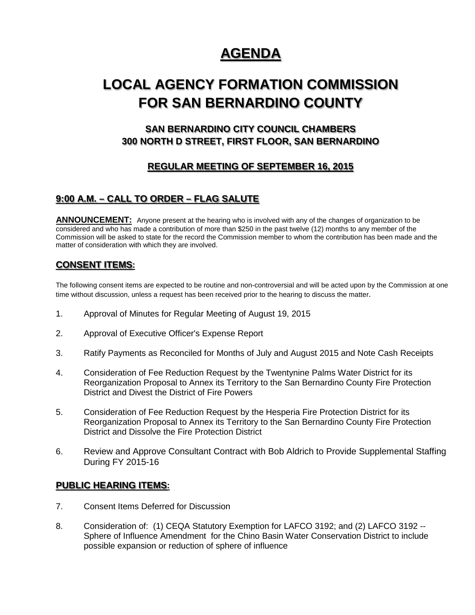## **AGENDA**

# **LOCAL AGENCY FORMATION COMMISSION FOR SAN BERNARDINO COUNTY**

## **SAN BERNARDINO CITY COUNCIL CHAMBERS 300 NORTH D STREET, FIRST FLOOR, SAN BERNARDINO**

## **REGULAR MEETING OF SEPTEMBER 16, 2015**

## **9:00 A.M. – CALL TO ORDER – FLAG SALUTE**

**ANNOUNCEMENT:** Anyone present at the hearing who is involved with any of the changes of organization to be considered and who has made a contribution of more than \$250 in the past twelve (12) months to any member of the Commission will be asked to state for the record the Commission member to whom the contribution has been made and the matter of consideration with which they are involved.

#### **CONSENT ITEMS:**

The following consent items are expected to be routine and non-controversial and will be acted upon by the Commission at one time without discussion, unless a request has been received prior to the hearing to discuss the matter.

- 1. Approval of Minutes for Regular Meeting of August 19, 2015
- 2. Approval of Executive Officer's Expense Report
- 3. Ratify Payments as Reconciled for Months of July and August 2015 and Note Cash Receipts
- 4. Consideration of Fee Reduction Request by the Twentynine Palms Water District for its Reorganization Proposal to Annex its Territory to the San Bernardino County Fire Protection District and Divest the District of Fire Powers
- 5. Consideration of Fee Reduction Request by the Hesperia Fire Protection District for its Reorganization Proposal to Annex its Territory to the San Bernardino County Fire Protection District and Dissolve the Fire Protection District
- 6. Review and Approve Consultant Contract with Bob Aldrich to Provide Supplemental Staffing During FY 2015-16

#### **PUBLIC HEARING ITEMS:**

- 7. Consent Items Deferred for Discussion
- 8. Consideration of: (1) CEQA Statutory Exemption for LAFCO 3192; and (2) LAFCO 3192 -- Sphere of Influence Amendment for the Chino Basin Water Conservation District to include possible expansion or reduction of sphere of influence